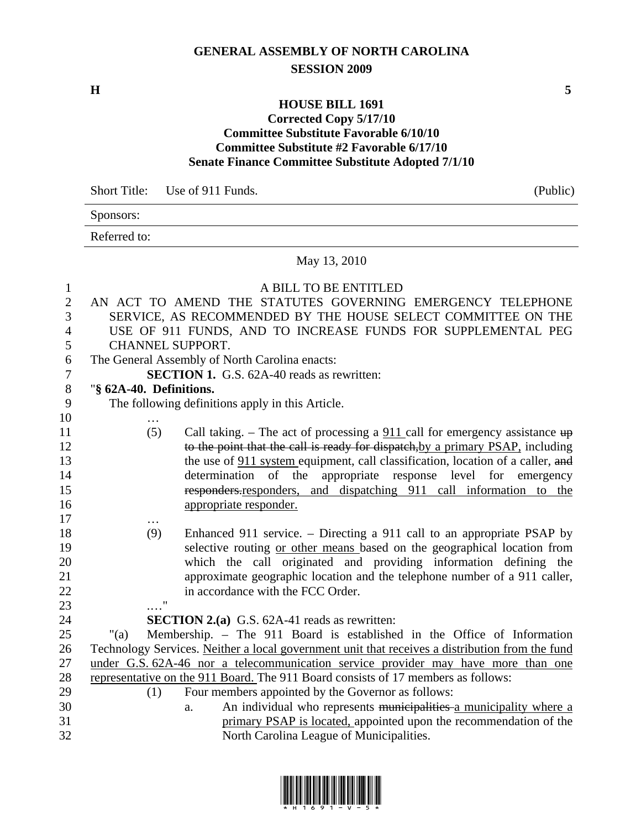## **GENERAL ASSEMBLY OF NORTH CAROLINA SESSION 2009**

**H** 5

## **HOUSE BILL 1691 Corrected Copy 5/17/10 Committee Substitute Favorable 6/10/10 Committee Substitute #2 Favorable 6/17/10 Senate Finance Committee Substitute Adopted 7/1/10**

Short Title: Use of 911 Funds. (Public)

| Sponsors: |
|-----------|
|-----------|

Referred to:

May 13, 2010

| $\mathbf{1}$   |                         | A BILL TO BE ENTITLED                                                                           |
|----------------|-------------------------|-------------------------------------------------------------------------------------------------|
| $\mathbf{2}$   |                         | AN ACT TO AMEND THE STATUTES GOVERNING EMERGENCY TELEPHONE                                      |
| 3              |                         | SERVICE, AS RECOMMENDED BY THE HOUSE SELECT COMMITTEE ON THE                                    |
| $\overline{4}$ |                         | USE OF 911 FUNDS, AND TO INCREASE FUNDS FOR SUPPLEMENTAL PEG                                    |
| 5              | CHANNEL SUPPORT.        |                                                                                                 |
| 6              |                         | The General Assembly of North Carolina enacts:                                                  |
| $\tau$         |                         | <b>SECTION 1.</b> G.S. 62A-40 reads as rewritten:                                               |
| $8\,$          | "§ 62A-40. Definitions. |                                                                                                 |
| 9              |                         | The following definitions apply in this Article.                                                |
| 10             |                         |                                                                                                 |
| 11             | (5)                     | Call taking. – The act of processing a $911$ call for emergency assistance $up$                 |
| 12             |                         | to the point that the call is ready for dispatch, by a primary PSAP, including                  |
| 13             |                         | the use of 911 system equipment, call classification, location of a caller, and                 |
| 14             |                         | determination of the appropriate response level for emergency                                   |
| 15             |                         | responders.responders, and dispatching 911 call information to the                              |
| 16             |                         | appropriate responder.                                                                          |
| 17             | .                       |                                                                                                 |
| 18             | (9)                     | Enhanced 911 service. – Directing a 911 call to an appropriate PSAP by                          |
| 19             |                         | selective routing or other means based on the geographical location from                        |
| $20\,$         |                         | which the call originated and providing information defining the                                |
| 21             |                         | approximate geographic location and the telephone number of a 911 caller,                       |
| 22             |                         | in accordance with the FCC Order.                                                               |
| 23             | 11                      |                                                                                                 |
| 24             |                         | <b>SECTION 2.(a)</b> G.S. 62A-41 reads as rewritten:                                            |
| 25             | "(a)                    | Membership. - The 911 Board is established in the Office of Information                         |
| 26             |                         | Technology Services. Neither a local government unit that receives a distribution from the fund |
| 27             |                         | under G.S. 62A-46 nor a telecommunication service provider may have more than one               |
| 28             |                         | representative on the 911 Board. The 911 Board consists of 17 members as follows:               |
| 29             | (1)                     | Four members appointed by the Governor as follows:                                              |
| 30             |                         | An individual who represents municipalities a municipality where a<br>a.                        |
| 31             |                         | primary PSAP is located, appointed upon the recommendation of the                               |
| 32             |                         | North Carolina League of Municipalities.                                                        |

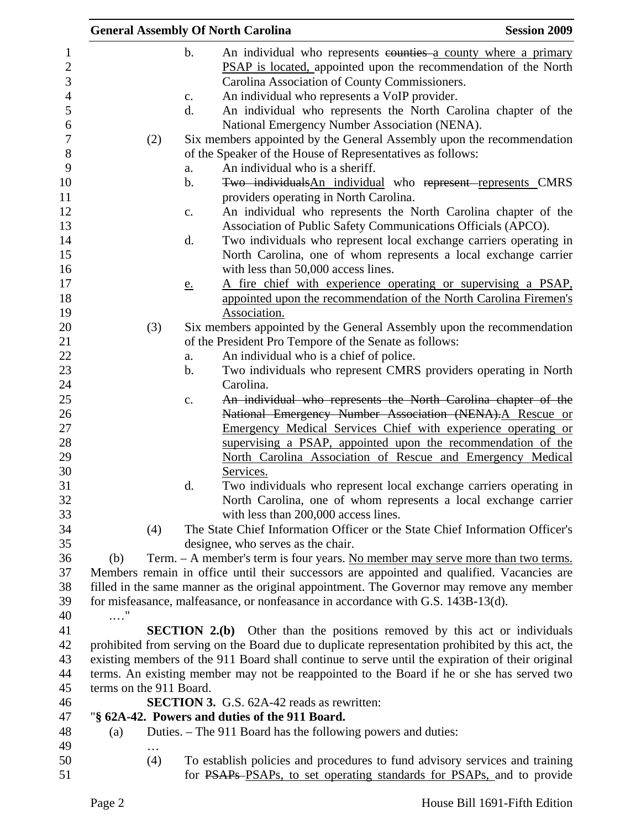|     |                         |                | <b>General Assembly Of North Carolina</b>                                                        | <b>Session 2009</b> |
|-----|-------------------------|----------------|--------------------------------------------------------------------------------------------------|---------------------|
|     |                         | $\mathbf b$ .  | An individual who represents counties a county where a primary                                   |                     |
|     |                         |                | PSAP is located, appointed upon the recommendation of the North                                  |                     |
|     |                         |                | Carolina Association of County Commissioners.                                                    |                     |
|     |                         | $C_{\bullet}$  | An individual who represents a VoIP provider.                                                    |                     |
|     |                         | d.             | An individual who represents the North Carolina chapter of the                                   |                     |
|     |                         |                | National Emergency Number Association (NENA).                                                    |                     |
|     |                         |                |                                                                                                  |                     |
|     | (2)                     |                | Six members appointed by the General Assembly upon the recommendation                            |                     |
|     |                         |                | of the Speaker of the House of Representatives as follows:                                       |                     |
|     |                         | a.             | An individual who is a sheriff.                                                                  |                     |
|     |                         | b.             | Two individuals An individual who represent represents CMRS                                      |                     |
|     |                         |                | providers operating in North Carolina.                                                           |                     |
|     |                         | $\mathbf{c}$ . | An individual who represents the North Carolina chapter of the                                   |                     |
|     |                         |                | Association of Public Safety Communications Officials (APCO).                                    |                     |
|     |                         | d.             | Two individuals who represent local exchange carriers operating in                               |                     |
|     |                         |                | North Carolina, one of whom represents a local exchange carrier                                  |                     |
|     |                         |                | with less than 50,000 access lines.                                                              |                     |
|     |                         | <u>e.</u>      | A fire chief with experience operating or supervising a PSAP,                                    |                     |
|     |                         |                | appointed upon the recommendation of the North Carolina Firemen's                                |                     |
|     |                         |                | Association.                                                                                     |                     |
|     | (3)                     |                | Six members appointed by the General Assembly upon the recommendation                            |                     |
|     |                         |                | of the President Pro Tempore of the Senate as follows:                                           |                     |
|     |                         | a.             | An individual who is a chief of police.                                                          |                     |
|     |                         | b.             | Two individuals who represent CMRS providers operating in North                                  |                     |
|     |                         |                | Carolina.                                                                                        |                     |
|     |                         | c.             | An individual who represents the North Carolina chapter of the                                   |                     |
|     |                         |                | National Emergency Number Association (NENA). A Rescue or                                        |                     |
|     |                         |                | Emergency Medical Services Chief with experience operating or                                    |                     |
|     |                         |                | supervising a PSAP, appointed upon the recommendation of the                                     |                     |
|     |                         |                | North Carolina Association of Rescue and Emergency Medical                                       |                     |
|     |                         |                | Services.                                                                                        |                     |
|     |                         | d.             | Two individuals who represent local exchange carriers operating in                               |                     |
|     |                         |                | North Carolina, one of whom represents a local exchange carrier                                  |                     |
|     |                         |                | with less than 200,000 access lines.                                                             |                     |
|     | (4)                     |                | The State Chief Information Officer or the State Chief Information Officer's                     |                     |
|     |                         |                | designee, who serves as the chair.                                                               |                     |
| (b) |                         |                | Term. - A member's term is four years. No member may serve more than two terms.                  |                     |
|     |                         |                | Members remain in office until their successors are appointed and qualified. Vacancies are       |                     |
|     |                         |                | filled in the same manner as the original appointment. The Governor may remove any member        |                     |
|     |                         |                | for misfeasance, malfeasance, or nonfeasance in accordance with G.S. 143B-13(d).                 |                     |
| . " |                         |                |                                                                                                  |                     |
|     |                         |                | <b>SECTION 2.(b)</b> Other than the positions removed by this act or individuals                 |                     |
|     |                         |                | prohibited from serving on the Board due to duplicate representation prohibited by this act, the |                     |
|     |                         |                | existing members of the 911 Board shall continue to serve until the expiration of their original |                     |
|     |                         |                | terms. An existing member may not be reappointed to the Board if he or she has served two        |                     |
|     | terms on the 911 Board. |                |                                                                                                  |                     |
|     |                         |                | <b>SECTION 3.</b> G.S. 62A-42 reads as rewritten:                                                |                     |
|     |                         |                | "§ 62A-42. Powers and duties of the 911 Board.                                                   |                     |
| (a) |                         |                | Duties. – The 911 Board has the following powers and duties:                                     |                     |
|     |                         |                |                                                                                                  |                     |
|     | (4)                     |                | To establish policies and procedures to fund advisory services and training                      |                     |
|     |                         |                | for PSAPs PSAPs, to set operating standards for PSAPs, and to provide                            |                     |
|     |                         |                |                                                                                                  |                     |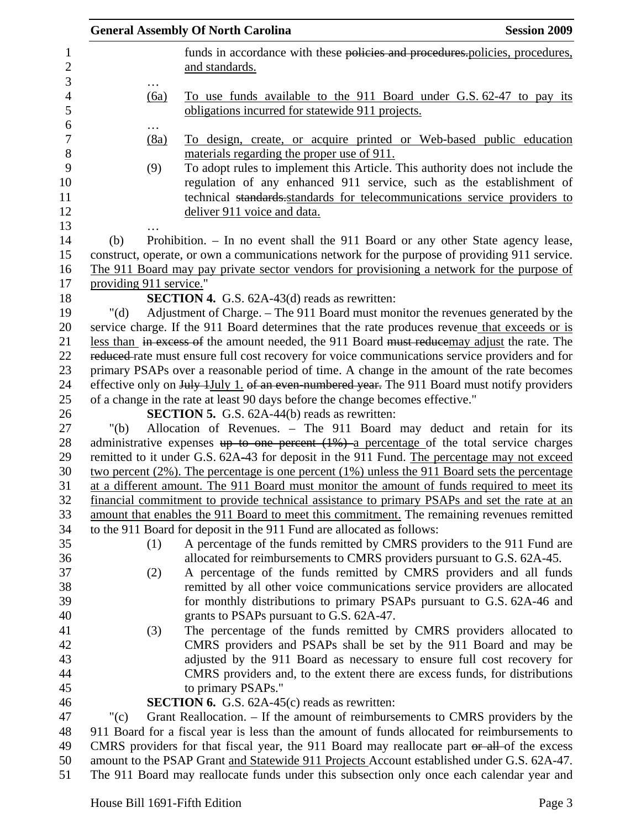|                                     |                         | <b>General Assembly Of North Carolina</b><br><b>Session 2009</b>                                                                                                                                                                                                                                                |
|-------------------------------------|-------------------------|-----------------------------------------------------------------------------------------------------------------------------------------------------------------------------------------------------------------------------------------------------------------------------------------------------------------|
| $\mathbf{1}$<br>$\overline{c}$<br>3 |                         | funds in accordance with these policies and procedures. policies, procedures,<br>and standards.                                                                                                                                                                                                                 |
| $\overline{4}$<br>5                 | (6a)                    | To use funds available to the 911 Board under G.S. 62-47 to pay its<br>obligations incurred for statewide 911 projects.                                                                                                                                                                                         |
| 6<br>$\boldsymbol{7}$               | (8a)                    | To design, create, or acquire printed or Web-based public education                                                                                                                                                                                                                                             |
| 8<br>9<br>10<br>11<br>12<br>13      | (9)                     | materials regarding the proper use of 911.<br>To adopt rules to implement this Article. This authority does not include the<br>regulation of any enhanced 911 service, such as the establishment of<br>technical standards standards for telecommunications service providers to<br>deliver 911 voice and data. |
| 14<br>15<br>16                      | (b)                     | Prohibition. - In no event shall the 911 Board or any other State agency lease,<br>construct, operate, or own a communications network for the purpose of providing 911 service.<br>The 911 Board may pay private sector vendors for provisioning a network for the purpose of                                  |
| 17                                  | providing 911 service." |                                                                                                                                                                                                                                                                                                                 |
| 18                                  |                         | <b>SECTION 4.</b> G.S. 62A-43(d) reads as rewritten:                                                                                                                                                                                                                                                            |
| 19                                  | " $(d)$                 | Adjustment of Charge. – The 911 Board must monitor the revenues generated by the                                                                                                                                                                                                                                |
| 20                                  |                         | service charge. If the 911 Board determines that the rate produces revenue that exceeds or is                                                                                                                                                                                                                   |
| 21                                  |                         | less than in excess of the amount needed, the 911 Board must reduce may adjust the rate. The                                                                                                                                                                                                                    |
| 22                                  |                         | reduced rate must ensure full cost recovery for voice communications service providers and for                                                                                                                                                                                                                  |
| 23                                  |                         | primary PSAPs over a reasonable period of time. A change in the amount of the rate becomes                                                                                                                                                                                                                      |
| 24                                  |                         | effective only on July 1July 1. of an even-numbered year. The 911 Board must notify providers                                                                                                                                                                                                                   |
| 25                                  |                         | of a change in the rate at least 90 days before the change becomes effective."                                                                                                                                                                                                                                  |
| 26                                  |                         | <b>SECTION 5.</b> G.S. 62A-44(b) reads as rewritten:                                                                                                                                                                                                                                                            |
| 27                                  | " $(b)$                 | Allocation of Revenues. - The 911 Board may deduct and retain for its                                                                                                                                                                                                                                           |
| 28                                  |                         | administrative expenses $up$ to one percent $(1%)$ a percentage of the total service charges                                                                                                                                                                                                                    |
| 29                                  |                         | remitted to it under G.S. 62A-43 for deposit in the 911 Fund. The percentage may not exceed                                                                                                                                                                                                                     |
| 30                                  |                         | two percent $(2\%)$ . The percentage is one percent $(1\%)$ unless the 911 Board sets the percentage                                                                                                                                                                                                            |
| 31                                  |                         | at a different amount. The 911 Board must monitor the amount of funds required to meet its                                                                                                                                                                                                                      |
| 32                                  |                         | financial commitment to provide technical assistance to primary PSAPs and set the rate at an                                                                                                                                                                                                                    |
| 33                                  |                         | amount that enables the 911 Board to meet this commitment. The remaining revenues remitted                                                                                                                                                                                                                      |
| 34                                  |                         | to the 911 Board for deposit in the 911 Fund are allocated as follows:                                                                                                                                                                                                                                          |
| 35                                  | (1)                     | A percentage of the funds remitted by CMRS providers to the 911 Fund are                                                                                                                                                                                                                                        |
| 36<br>37                            |                         | allocated for reimbursements to CMRS providers pursuant to G.S. 62A-45.                                                                                                                                                                                                                                         |
| 38                                  | (2)                     | A percentage of the funds remitted by CMRS providers and all funds<br>remitted by all other voice communications service providers are allocated                                                                                                                                                                |
| 39                                  |                         | for monthly distributions to primary PSAPs pursuant to G.S. 62A-46 and                                                                                                                                                                                                                                          |
| 40                                  |                         | grants to PSAPs pursuant to G.S. 62A-47.                                                                                                                                                                                                                                                                        |
| 41                                  | (3)                     | The percentage of the funds remitted by CMRS providers allocated to                                                                                                                                                                                                                                             |
| 42                                  |                         | CMRS providers and PSAPs shall be set by the 911 Board and may be                                                                                                                                                                                                                                               |
| 43                                  |                         | adjusted by the 911 Board as necessary to ensure full cost recovery for                                                                                                                                                                                                                                         |
| 44                                  |                         | CMRS providers and, to the extent there are excess funds, for distributions                                                                                                                                                                                                                                     |
| 45                                  |                         | to primary PSAPs."                                                                                                                                                                                                                                                                                              |
| 46                                  |                         | <b>SECTION 6.</b> G.S. $62A-45(c)$ reads as rewritten:                                                                                                                                                                                                                                                          |
| 47                                  | " $(c)$                 | Grant Reallocation. – If the amount of reimbursements to CMRS providers by the                                                                                                                                                                                                                                  |
| 48                                  |                         | 911 Board for a fiscal year is less than the amount of funds allocated for reimbursements to                                                                                                                                                                                                                    |
| 49                                  |                         | CMRS providers for that fiscal year, the 911 Board may reallocate part or all of the excess                                                                                                                                                                                                                     |
| 50                                  |                         | amount to the PSAP Grant and Statewide 911 Projects Account established under G.S. 62A-47.                                                                                                                                                                                                                      |
| 51                                  |                         | The 911 Board may reallocate funds under this subsection only once each calendar year and                                                                                                                                                                                                                       |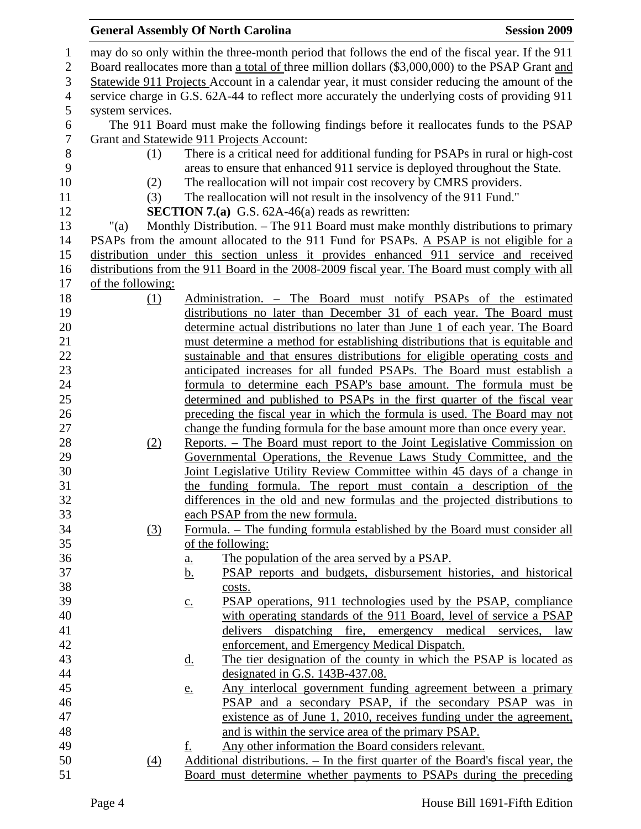## General Assembly Of North Carolina **Session 2009**

| $\mathbf{1}$     |                                                                                                  | may do so only within the three-month period that follows the end of the fiscal year. If the 911 |  |  |  |  |
|------------------|--------------------------------------------------------------------------------------------------|--------------------------------------------------------------------------------------------------|--|--|--|--|
| $\mathfrak{2}$   | Board reallocates more than a total of three million dollars (\$3,000,000) to the PSAP Grant and |                                                                                                  |  |  |  |  |
| 3                | Statewide 911 Projects Account in a calendar year, it must consider reducing the amount of the   |                                                                                                  |  |  |  |  |
| $\overline{4}$   | service charge in G.S. 62A-44 to reflect more accurately the underlying costs of providing 911   |                                                                                                  |  |  |  |  |
| 5                | system services.                                                                                 |                                                                                                  |  |  |  |  |
| 6                |                                                                                                  | The 911 Board must make the following findings before it reallocates funds to the PSAP           |  |  |  |  |
| $\boldsymbol{7}$ |                                                                                                  | Grant and Statewide 911 Projects Account:                                                        |  |  |  |  |
| $8\,$            | (1)                                                                                              | There is a critical need for additional funding for PSAPs in rural or high-cost                  |  |  |  |  |
| 9                |                                                                                                  | areas to ensure that enhanced 911 service is deployed throughout the State.                      |  |  |  |  |
| 10               | (2)                                                                                              | The reallocation will not impair cost recovery by CMRS providers.                                |  |  |  |  |
| 11               | (3)                                                                                              | The reallocation will not result in the insolvency of the 911 Fund."                             |  |  |  |  |
| 12               |                                                                                                  | <b>SECTION 7.(a)</b> G.S. $62A-46(a)$ reads as rewritten:                                        |  |  |  |  |
| 13               | "(a)                                                                                             | Monthly Distribution. – The 911 Board must make monthly distributions to primary                 |  |  |  |  |
| 14               |                                                                                                  | PSAPs from the amount allocated to the 911 Fund for PSAPs. A PSAP is not eligible for a          |  |  |  |  |
| 15               |                                                                                                  | distribution under this section unless it provides enhanced 911 service and received             |  |  |  |  |
| 16               |                                                                                                  | distributions from the 911 Board in the 2008-2009 fiscal year. The Board must comply with all    |  |  |  |  |
| 17               | of the following:                                                                                |                                                                                                  |  |  |  |  |
| 18               | (1)                                                                                              | Administration. - The Board must notify PSAPs of the estimated                                   |  |  |  |  |
| 19               |                                                                                                  | distributions no later than December 31 of each year. The Board must                             |  |  |  |  |
| 20               |                                                                                                  | determine actual distributions no later than June 1 of each year. The Board                      |  |  |  |  |
| 21               |                                                                                                  | must determine a method for establishing distributions that is equitable and                     |  |  |  |  |
| 22               |                                                                                                  | sustainable and that ensures distributions for eligible operating costs and                      |  |  |  |  |
| 23               |                                                                                                  | anticipated increases for all funded PSAPs. The Board must establish a                           |  |  |  |  |
| 24               |                                                                                                  |                                                                                                  |  |  |  |  |
|                  |                                                                                                  | formula to determine each PSAP's base amount. The formula must be                                |  |  |  |  |
| 25               |                                                                                                  | determined and published to PSAPs in the first quarter of the fiscal year                        |  |  |  |  |
| 26               |                                                                                                  | preceding the fiscal year in which the formula is used. The Board may not                        |  |  |  |  |
| 27               |                                                                                                  | change the funding formula for the base amount more than once every year.                        |  |  |  |  |
| 28               | (2)                                                                                              | <u>Reports. – The Board must report to the Joint Legislative Commission on</u>                   |  |  |  |  |
| 29               |                                                                                                  | Governmental Operations, the Revenue Laws Study Committee, and the                               |  |  |  |  |
| 30               |                                                                                                  | Joint Legislative Utility Review Committee within 45 days of a change in                         |  |  |  |  |
| 31               |                                                                                                  | the funding formula. The report must contain a description of the                                |  |  |  |  |
| 32               |                                                                                                  | differences in the old and new formulas and the projected distributions to                       |  |  |  |  |
| 33               |                                                                                                  | each PSAP from the new formula.                                                                  |  |  |  |  |
| 34               | (3)                                                                                              | Formula. – The funding formula established by the Board must consider all                        |  |  |  |  |
| 35               |                                                                                                  | of the following:                                                                                |  |  |  |  |
| 36               |                                                                                                  | The population of the area served by a PSAP.<br>$\underline{\mathbf{a}}$ .                       |  |  |  |  |
| 37               |                                                                                                  | <u>b.</u><br>PSAP reports and budgets, disbursement histories, and historical                    |  |  |  |  |
| 38               |                                                                                                  | costs.                                                                                           |  |  |  |  |
| 39               |                                                                                                  | PSAP operations, 911 technologies used by the PSAP, compliance<br>$\underline{c}$ .              |  |  |  |  |
| 40               |                                                                                                  | with operating standards of the 911 Board, level of service a PSAP                               |  |  |  |  |
| 41               |                                                                                                  | delivers dispatching fire, emergency medical<br>services,<br>law                                 |  |  |  |  |
| 42               |                                                                                                  | enforcement, and Emergency Medical Dispatch.                                                     |  |  |  |  |
| 43               |                                                                                                  | The tier designation of the county in which the PSAP is located as<br><u>d.</u>                  |  |  |  |  |
| 44               |                                                                                                  | designated in G.S. 143B-437.08.                                                                  |  |  |  |  |
| 45               |                                                                                                  | Any interlocal government funding agreement between a primary<br><u>e.</u>                       |  |  |  |  |
| 46               |                                                                                                  | PSAP and a secondary PSAP, if the secondary PSAP was in                                          |  |  |  |  |
| 47               |                                                                                                  | existence as of June 1, 2010, receives funding under the agreement,                              |  |  |  |  |
| 48               |                                                                                                  | and is within the service area of the primary PSAP.                                              |  |  |  |  |
| 49               |                                                                                                  | Any other information the Board considers relevant.<br>f.                                        |  |  |  |  |
| 50               | (4)                                                                                              | Additional distributions. – In the first quarter of the Board's fiscal year, the                 |  |  |  |  |
| 51               |                                                                                                  | Board must determine whether payments to PSAPs during the preceding                              |  |  |  |  |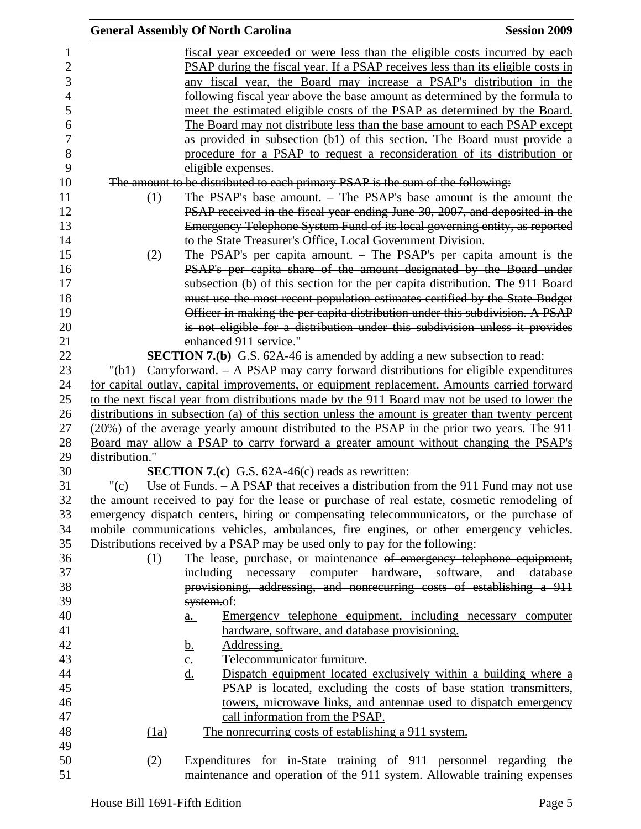|                |                   | <b>General Assembly Of North Carolina</b>                                                        | <b>Session 2009</b> |
|----------------|-------------------|--------------------------------------------------------------------------------------------------|---------------------|
|                |                   | <u>fiscal year exceeded or were less than the eligible costs incurred by each</u>                |                     |
| $\overline{2}$ |                   | <b>PSAP</b> during the fiscal year. If a PSAP receives less than its eligible costs in           |                     |
| 3              |                   | any fiscal year, the Board may increase a PSAP's distribution in the                             |                     |
| $\overline{4}$ |                   | following fiscal year above the base amount as determined by the formula to                      |                     |
| 5              |                   | meet the estimated eligible costs of the PSAP as determined by the Board.                        |                     |
| 6              |                   | The Board may not distribute less than the base amount to each PSAP except                       |                     |
|                |                   | as provided in subsection (b1) of this section. The Board must provide a                         |                     |
|                |                   | procedure for a PSAP to request a reconsideration of its distribution or                         |                     |
|                |                   | eligible expenses.                                                                               |                     |
|                |                   | The amount to be distributed to each primary PSAP is the sum of the following:                   |                     |
|                | $\leftrightarrow$ | The PSAP's base amount. – The PSAP's base amount is the amount the                               |                     |
|                |                   | PSAP received in the fiscal year ending June 30, 2007, and deposited in the                      |                     |
|                |                   | Emergency Telephone System Fund of its local governing entity, as reported                       |                     |
|                |                   | to the State Treasurer's Office, Local Government Division.                                      |                     |
|                | (2)               | The PSAP's per capita amount. – The PSAP's per capita amount is the                              |                     |
|                |                   | PSAP's per capita share of the amount designated by the Board under                              |                     |
|                |                   | subsection (b) of this section for the per capita distribution. The 911 Board                    |                     |
|                |                   | must use the most recent population estimates certified by the State Budget                      |                     |
|                |                   | Officer in making the per capita distribution under this subdivision. A PSAP                     |                     |
|                |                   | is not eligible for a distribution under this subdivision unless it provides                     |                     |
|                |                   | enhanced 911 service."                                                                           |                     |
|                |                   | <b>SECTION 7.(b)</b> G.S. 62A-46 is amended by adding a new subsection to read:                  |                     |
|                | "(b1)             | $Carryforward. - A PSAP$ may carry forward distributions for eligible expenditures               |                     |
|                |                   | for capital outlay, capital improvements, or equipment replacement. Amounts carried forward      |                     |
|                |                   | to the next fiscal year from distributions made by the 911 Board may not be used to lower the    |                     |
|                |                   | distributions in subsection (a) of this section unless the amount is greater than twenty percent |                     |
|                |                   | (20%) of the average yearly amount distributed to the PSAP in the prior two years. The 911       |                     |
|                |                   | Board may allow a PSAP to carry forward a greater amount without changing the PSAP's             |                     |
|                | distribution."    |                                                                                                  |                     |
|                |                   | <b>SECTION 7.(c)</b> G.S. $62A-46(c)$ reads as rewritten:                                        |                     |
|                | " $(c)$           | Use of Funds. $-$ A PSAP that receives a distribution from the 911 Fund may not use              |                     |
|                |                   | the amount received to pay for the lease or purchase of real estate, cosmetic remodeling of      |                     |
|                |                   | emergency dispatch centers, hiring or compensating telecommunicators, or the purchase of         |                     |
|                |                   | mobile communications vehicles, ambulances, fire engines, or other emergency vehicles.           |                     |
|                |                   | Distributions received by a PSAP may be used only to pay for the following:                      |                     |
|                | (1)               | The lease, purchase, or maintenance of emergency telephone equipment,                            |                     |
|                |                   | including necessary computer hardware, software, and database                                    |                     |
|                |                   | provisioning, addressing, and nonrecurring costs of establishing a 911                           |                     |
|                |                   | system.of:                                                                                       |                     |
|                |                   | Emergency telephone equipment, including necessary computer<br>$\underline{\mathbf{a}}$ .        |                     |
|                |                   | hardware, software, and database provisioning.                                                   |                     |
|                |                   | Addressing.<br><u>b.</u>                                                                         |                     |
|                |                   | Telecommunicator furniture.<br>$\underline{\mathbf{C}}$ .                                        |                     |
|                |                   | d.<br>Dispatch equipment located exclusively within a building where a                           |                     |
|                |                   | PSAP is located, excluding the costs of base station transmitters,                               |                     |
|                |                   | towers, microwave links, and antennae used to dispatch emergency                                 |                     |
|                |                   | call information from the PSAP.                                                                  |                     |
|                | (1a)              | The nonrecurring costs of establishing a 911 system.                                             |                     |
|                |                   |                                                                                                  |                     |
|                | (2)               | Expenditures for in-State training of 911 personnel regarding the                                |                     |
|                |                   | maintenance and operation of the 911 system. Allowable training expenses                         |                     |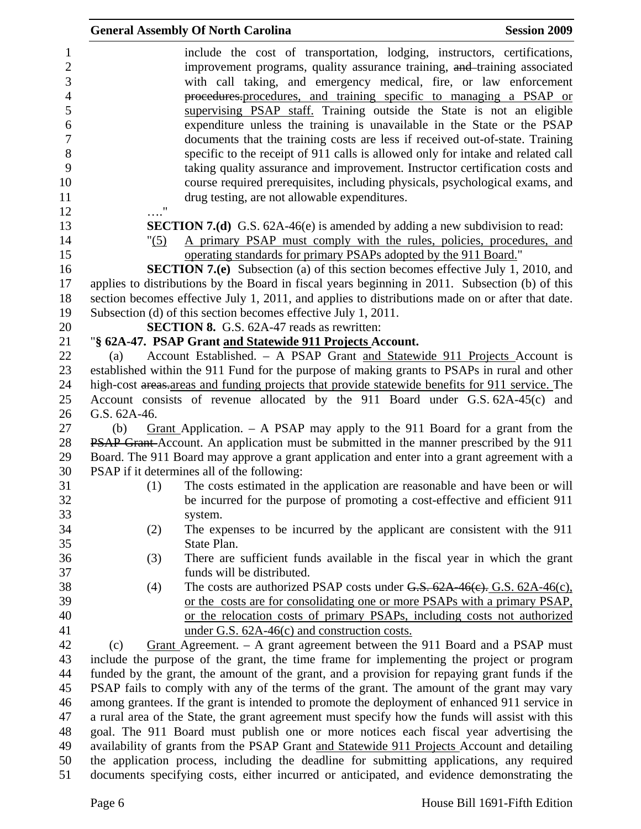|                                                                                                                 | <b>General Assembly Of North Carolina</b><br><b>Session 2009</b>                                                                                                                                                                                                                                                                                                                                                                                                                                                                                                                                                                                                                                                                                                                                                                                          |
|-----------------------------------------------------------------------------------------------------------------|-----------------------------------------------------------------------------------------------------------------------------------------------------------------------------------------------------------------------------------------------------------------------------------------------------------------------------------------------------------------------------------------------------------------------------------------------------------------------------------------------------------------------------------------------------------------------------------------------------------------------------------------------------------------------------------------------------------------------------------------------------------------------------------------------------------------------------------------------------------|
| $\mathbf{1}$<br>$\mathbf{2}$<br>3<br>$\overline{4}$<br>5<br>6<br>$\overline{7}$<br>$8\,$<br>9<br>10<br>11<br>12 | include the cost of transportation, lodging, instructors, certifications,<br>improvement programs, quality assurance training, and training associated<br>with call taking, and emergency medical, fire, or law enforcement<br>procedures.procedures, and training specific to managing a PSAP or<br>supervising PSAP staff. Training outside the State is not an eligible<br>expenditure unless the training is unavailable in the State or the PSAP<br>documents that the training costs are less if received out-of-state. Training<br>specific to the receipt of 911 calls is allowed only for intake and related call<br>taking quality assurance and improvement. Instructor certification costs and<br>course required prerequisites, including physicals, psychological exams, and<br>drug testing, are not allowable expenditures.<br>$\ldots$ " |
| 13                                                                                                              | <b>SECTION 7.(d)</b> G.S. 62A-46(e) is amended by adding a new subdivision to read:                                                                                                                                                                                                                                                                                                                                                                                                                                                                                                                                                                                                                                                                                                                                                                       |
| 14<br>15<br>16                                                                                                  | A primary PSAP must comply with the rules, policies, procedures, and<br>"(5)<br>operating standards for primary PSAPs adopted by the 911 Board."<br><b>SECTION 7.(e)</b> Subsection (a) of this section becomes effective July 1, 2010, and                                                                                                                                                                                                                                                                                                                                                                                                                                                                                                                                                                                                               |
| 17                                                                                                              | applies to distributions by the Board in fiscal years beginning in 2011. Subsection (b) of this                                                                                                                                                                                                                                                                                                                                                                                                                                                                                                                                                                                                                                                                                                                                                           |
| 18                                                                                                              | section becomes effective July 1, 2011, and applies to distributions made on or after that date.                                                                                                                                                                                                                                                                                                                                                                                                                                                                                                                                                                                                                                                                                                                                                          |
| 19                                                                                                              | Subsection (d) of this section becomes effective July 1, 2011.                                                                                                                                                                                                                                                                                                                                                                                                                                                                                                                                                                                                                                                                                                                                                                                            |
| 20                                                                                                              | <b>SECTION 8.</b> G.S. 62A-47 reads as rewritten:                                                                                                                                                                                                                                                                                                                                                                                                                                                                                                                                                                                                                                                                                                                                                                                                         |
| 21                                                                                                              | "§ 62A-47. PSAP Grant and Statewide 911 Projects Account.                                                                                                                                                                                                                                                                                                                                                                                                                                                                                                                                                                                                                                                                                                                                                                                                 |
| 22                                                                                                              | Account Established. - A PSAP Grant and Statewide 911 Projects Account is<br>(a)                                                                                                                                                                                                                                                                                                                                                                                                                                                                                                                                                                                                                                                                                                                                                                          |
| 23                                                                                                              | established within the 911 Fund for the purpose of making grants to PSAPs in rural and other                                                                                                                                                                                                                                                                                                                                                                                                                                                                                                                                                                                                                                                                                                                                                              |
| 24                                                                                                              | high-cost areas areas and funding projects that provide statewide benefits for 911 service. The                                                                                                                                                                                                                                                                                                                                                                                                                                                                                                                                                                                                                                                                                                                                                           |
| 25                                                                                                              | Account consists of revenue allocated by the 911 Board under G.S. 62A-45(c) and                                                                                                                                                                                                                                                                                                                                                                                                                                                                                                                                                                                                                                                                                                                                                                           |
| 26                                                                                                              | G.S. 62A-46.                                                                                                                                                                                                                                                                                                                                                                                                                                                                                                                                                                                                                                                                                                                                                                                                                                              |
| 27                                                                                                              | Grant Application. $-$ A PSAP may apply to the 911 Board for a grant from the<br>(b)                                                                                                                                                                                                                                                                                                                                                                                                                                                                                                                                                                                                                                                                                                                                                                      |
| 28                                                                                                              | PSAP Grant-Account. An application must be submitted in the manner prescribed by the 911                                                                                                                                                                                                                                                                                                                                                                                                                                                                                                                                                                                                                                                                                                                                                                  |
| 29                                                                                                              | Board. The 911 Board may approve a grant application and enter into a grant agreement with a                                                                                                                                                                                                                                                                                                                                                                                                                                                                                                                                                                                                                                                                                                                                                              |
| 30                                                                                                              | PSAP if it determines all of the following:                                                                                                                                                                                                                                                                                                                                                                                                                                                                                                                                                                                                                                                                                                                                                                                                               |
| 31<br>32<br>33                                                                                                  | The costs estimated in the application are reasonable and have been or will<br>(1)<br>be incurred for the purpose of promoting a cost-effective and efficient 911<br>system.                                                                                                                                                                                                                                                                                                                                                                                                                                                                                                                                                                                                                                                                              |
| 34<br>35                                                                                                        | The expenses to be incurred by the applicant are consistent with the 911<br>(2)<br>State Plan.                                                                                                                                                                                                                                                                                                                                                                                                                                                                                                                                                                                                                                                                                                                                                            |
| 36<br>37                                                                                                        | There are sufficient funds available in the fiscal year in which the grant<br>(3)<br>funds will be distributed.                                                                                                                                                                                                                                                                                                                                                                                                                                                                                                                                                                                                                                                                                                                                           |
| 38                                                                                                              | The costs are authorized PSAP costs under $G.S. 62A-46(c)$ . G.S. $62A-46(c)$ .<br>(4)                                                                                                                                                                                                                                                                                                                                                                                                                                                                                                                                                                                                                                                                                                                                                                    |
| 39                                                                                                              | or the costs are for consolidating one or more PSAPs with a primary PSAP,                                                                                                                                                                                                                                                                                                                                                                                                                                                                                                                                                                                                                                                                                                                                                                                 |
| 40                                                                                                              | or the relocation costs of primary PSAPs, including costs not authorized                                                                                                                                                                                                                                                                                                                                                                                                                                                                                                                                                                                                                                                                                                                                                                                  |
| 41                                                                                                              | under G.S. $62A-46(c)$ and construction costs.                                                                                                                                                                                                                                                                                                                                                                                                                                                                                                                                                                                                                                                                                                                                                                                                            |
| 42                                                                                                              | Grant Agreement. $-$ A grant agreement between the 911 Board and a PSAP must<br>(c)                                                                                                                                                                                                                                                                                                                                                                                                                                                                                                                                                                                                                                                                                                                                                                       |
| 43                                                                                                              | include the purpose of the grant, the time frame for implementing the project or program                                                                                                                                                                                                                                                                                                                                                                                                                                                                                                                                                                                                                                                                                                                                                                  |
| 44                                                                                                              | funded by the grant, the amount of the grant, and a provision for repaying grant funds if the                                                                                                                                                                                                                                                                                                                                                                                                                                                                                                                                                                                                                                                                                                                                                             |
| 45                                                                                                              | PSAP fails to comply with any of the terms of the grant. The amount of the grant may vary                                                                                                                                                                                                                                                                                                                                                                                                                                                                                                                                                                                                                                                                                                                                                                 |
| 46                                                                                                              | among grantees. If the grant is intended to promote the deployment of enhanced 911 service in                                                                                                                                                                                                                                                                                                                                                                                                                                                                                                                                                                                                                                                                                                                                                             |
| 47                                                                                                              | a rural area of the State, the grant agreement must specify how the funds will assist with this                                                                                                                                                                                                                                                                                                                                                                                                                                                                                                                                                                                                                                                                                                                                                           |
| 48                                                                                                              | goal. The 911 Board must publish one or more notices each fiscal year advertising the                                                                                                                                                                                                                                                                                                                                                                                                                                                                                                                                                                                                                                                                                                                                                                     |
| 49                                                                                                              | availability of grants from the PSAP Grant and Statewide 911 Projects Account and detailing                                                                                                                                                                                                                                                                                                                                                                                                                                                                                                                                                                                                                                                                                                                                                               |
| 50<br>51                                                                                                        | the application process, including the deadline for submitting applications, any required<br>documents specifying costs, either incurred or anticipated, and evidence demonstrating the                                                                                                                                                                                                                                                                                                                                                                                                                                                                                                                                                                                                                                                                   |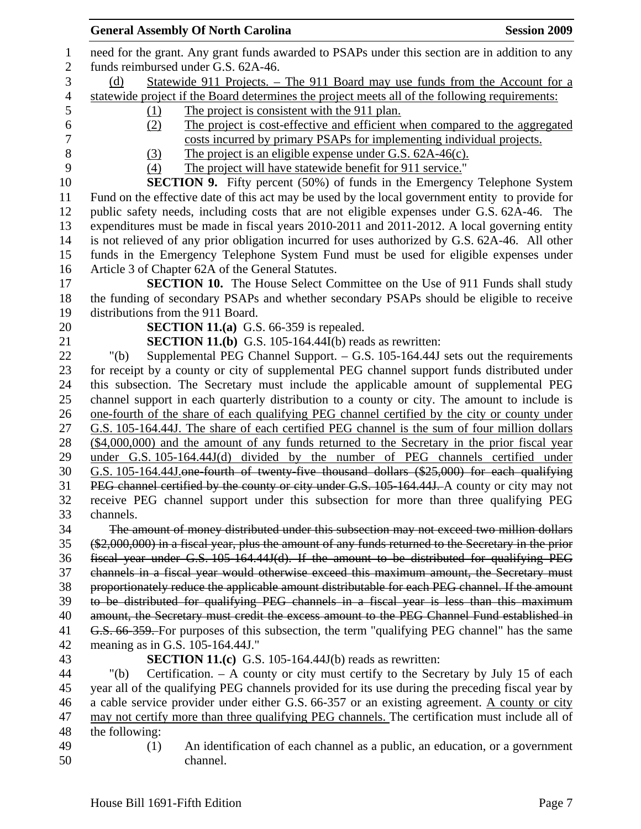| <b>General Assembly Of North Carolina</b><br><b>Session 2009</b>                                                                                                                           |
|--------------------------------------------------------------------------------------------------------------------------------------------------------------------------------------------|
| need for the grant. Any grant funds awarded to PSAPs under this section are in addition to any<br>funds reimbursed under G.S. 62A-46.                                                      |
| <u>Statewide 911 Projects. – The 911 Board may use funds from the Account for a</u><br>(d)                                                                                                 |
| statewide project if the Board determines the project meets all of the following requirements:                                                                                             |
| The project is consistent with the 911 plan.<br>(1)                                                                                                                                        |
| The project is cost-effective and efficient when compared to the aggregated<br>(2)                                                                                                         |
| costs incurred by primary PSAPs for implementing individual projects.                                                                                                                      |
| The project is an eligible expense under G.S. $62A-46(c)$ .<br>(3)                                                                                                                         |
| The project will have statewide benefit for 911 service."<br>(4)                                                                                                                           |
| <b>SECTION 9.</b> Fifty percent (50%) of funds in the Emergency Telephone System                                                                                                           |
| Fund on the effective date of this act may be used by the local government entity to provide for                                                                                           |
| public safety needs, including costs that are not eligible expenses under G.S. 62A-46. The                                                                                                 |
| expenditures must be made in fiscal years 2010-2011 and 2011-2012. A local governing entity                                                                                                |
| is not relieved of any prior obligation incurred for uses authorized by G.S. 62A-46. All other                                                                                             |
| funds in the Emergency Telephone System Fund must be used for eligible expenses under                                                                                                      |
| Article 3 of Chapter 62A of the General Statutes.                                                                                                                                          |
| SECTION 10. The House Select Committee on the Use of 911 Funds shall study                                                                                                                 |
| the funding of secondary PSAPs and whether secondary PSAPs should be eligible to receive                                                                                                   |
| distributions from the 911 Board.                                                                                                                                                          |
| <b>SECTION 11.(a)</b> G.S. 66-359 is repealed.                                                                                                                                             |
| <b>SECTION 11.(b)</b> G.S. 105-164.44I(b) reads as rewritten:                                                                                                                              |
| Supplemental PEG Channel Support. $-$ G.S. 105-164.44J sets out the requirements<br>" $(b)$                                                                                                |
| for receipt by a county or city of supplemental PEG channel support funds distributed under                                                                                                |
| this subsection. The Secretary must include the applicable amount of supplemental PEG                                                                                                      |
| channel support in each quarterly distribution to a county or city. The amount to include is                                                                                               |
| one-fourth of the share of each qualifying PEG channel certified by the city or county under                                                                                               |
| G.S. 105-164.44J. The share of each certified PEG channel is the sum of four million dollars                                                                                               |
| $(\$4,000,000)$ and the amount of any funds returned to the Secretary in the prior fiscal year                                                                                             |
| under G.S. 105-164.44J(d) divided by the number of PEG channels certified under                                                                                                            |
| G.S. 105-164.44J one-fourth of twenty-five thousand dollars (\$25,000) for each qualifying<br>PEG channel certified by the county or city under G.S. 105-164.44J. A county or city may not |
| receive PEG channel support under this subsection for more than three qualifying PEG                                                                                                       |
| channels.                                                                                                                                                                                  |
| The amount of money distributed under this subsection may not exceed two million dollars                                                                                                   |
| (\$2,000,000) in a fiscal year, plus the amount of any funds returned to the Secretary in the prior                                                                                        |
| fiscal year under G.S. 105-164.44J(d). If the amount to be distributed for qualifying PEG                                                                                                  |
| channels in a fiscal year would otherwise exceed this maximum amount, the Secretary must                                                                                                   |
| proportionately reduce the applicable amount distributable for each PEG channel. If the amount                                                                                             |
| to be distributed for qualifying PEG channels in a fiscal year is less than this maximum                                                                                                   |
| amount, the Secretary must credit the excess amount to the PEG Channel Fund established in                                                                                                 |
| G.S. 66-359. For purposes of this subsection, the term "qualifying PEG channel" has the same                                                                                               |
| meaning as in G.S. 105-164.44J."                                                                                                                                                           |
| <b>SECTION 11.(c)</b> G.S. 105-164.44J(b) reads as rewritten:                                                                                                                              |
| Certification. $- A$ county or city must certify to the Secretary by July 15 of each<br>" $(b)$                                                                                            |
| year all of the qualifying PEG channels provided for its use during the preceding fiscal year by                                                                                           |
| a cable service provider under either G.S. 66-357 or an existing agreement. A county or city                                                                                               |
| may not certify more than three qualifying PEG channels. The certification must include all of                                                                                             |
| the following:                                                                                                                                                                             |
| An identification of each channel as a public, an education, or a government<br>(1)                                                                                                        |
| channel.                                                                                                                                                                                   |
|                                                                                                                                                                                            |